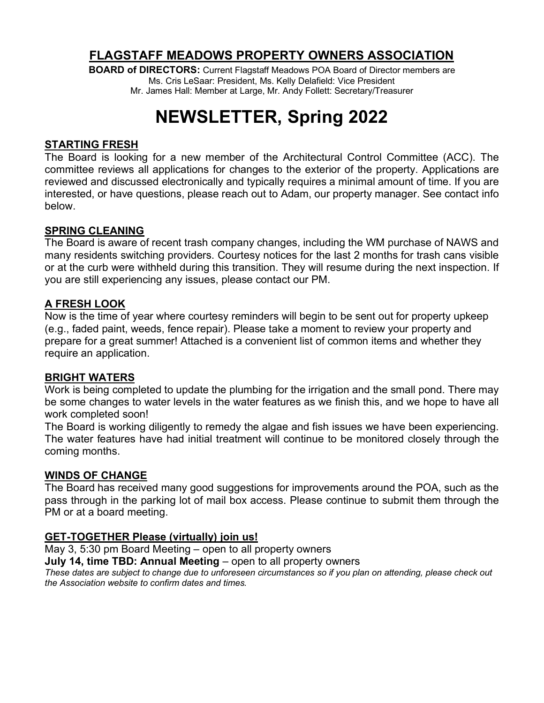### **FLAGSTAFF MEADOWS PROPERTY OWNERS ASSOCIATION**

**BOARD of DIRECTORS:** Current Flagstaff Meadows POA Board of Director members are Ms. Cris LeSaar: President, Ms. Kelly Delafield: Vice President Mr. James Hall: Member at Large, Mr. Andy Follett: Secretary/Treasurer

# **NEWSLETTER, Spring 2022**

#### **STARTING FRESH**

The Board is looking for a new member of the Architectural Control Committee (ACC). The committee reviews all applications for changes to the exterior of the property. Applications are reviewed and discussed electronically and typically requires a minimal amount of time. If you are interested, or have questions, please reach out to Adam, our property manager. See contact info below.

#### **SPRING CLEANING**

The Board is aware of recent trash company changes, including the WM purchase of NAWS and many residents switching providers. Courtesy notices for the last 2 months for trash cans visible or at the curb were withheld during this transition. They will resume during the next inspection. If you are still experiencing any issues, please contact our PM.

#### **A FRESH LOOK**

Now is the time of year where courtesy reminders will begin to be sent out for property upkeep (e.g., faded paint, weeds, fence repair). Please take a moment to review your property and prepare for a great summer! Attached is a convenient list of common items and whether they require an application.

#### **BRIGHT WATERS**

Work is being completed to update the plumbing for the irrigation and the small pond. There may be some changes to water levels in the water features as we finish this, and we hope to have all work completed soon!

The Board is working diligently to remedy the algae and fish issues we have been experiencing. The water features have had initial treatment will continue to be monitored closely through the coming months.

#### **WINDS OF CHANGE**

The Board has received many good suggestions for improvements around the POA, such as the pass through in the parking lot of mail box access. Please continue to submit them through the PM or at a board meeting.

#### **GET-TOGETHER Please (virtually) join us!**

May 3, 5:30 pm Board Meeting – open to all property owners

**July 14, time TBD: Annual Meeting** – open to all property owners

*These dates are subject to change due to unforeseen circumstances so if you plan on attending, please check out the Association website to confirm dates and times.*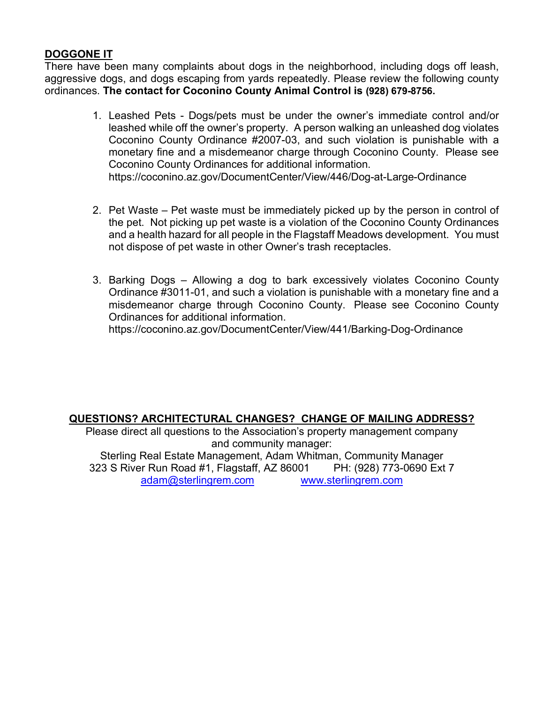#### **DOGGONE IT**

There have been many complaints about dogs in the neighborhood, including dogs off leash, aggressive dogs, and dogs escaping from yards repeatedly. Please review the following county ordinances. **The contact for Coconino County Animal Control is (928) 679-8756.**

- 1. Leashed Pets Dogs/pets must be under the owner's immediate control and/or leashed while off the owner's property. A person walking an unleashed dog violates Coconino County Ordinance #2007-03, and such violation is punishable with a monetary fine and a misdemeanor charge through Coconino County. Please see Coconino County Ordinances for additional information. https://coconino.az.gov/DocumentCenter/View/446/Dog-at-Large-Ordinance
- 2. Pet Waste Pet waste must be immediately picked up by the person in control of the pet. Not picking up pet waste is a violation of the Coconino County Ordinances and a health hazard for all people in the Flagstaff Meadows development. You must not dispose of pet waste in other Owner's trash receptacles.
- 3. Barking Dogs Allowing a dog to bark excessively violates Coconino County Ordinance #3011-01, and such a violation is punishable with a monetary fine and a misdemeanor charge through Coconino County. Please see Coconino County Ordinances for additional information.

https://coconino.az.gov/DocumentCenter/View/441/Barking-Dog-Ordinance

#### **QUESTIONS? ARCHITECTURAL CHANGES? CHANGE OF MAILING ADDRESS?**

Please direct all questions to the Association's property management company and community manager: Sterling Real Estate Management, Adam Whitman, Community Manager 323 S River Run Road #1, Flagstaff, AZ 86001 PH: (928) 773-0690 Ext 7 [adam@sterlingrem.com](mailto:adam@sterlingrem.com) [www.sterlingrem.com](http://www.sterlingrem.com/)